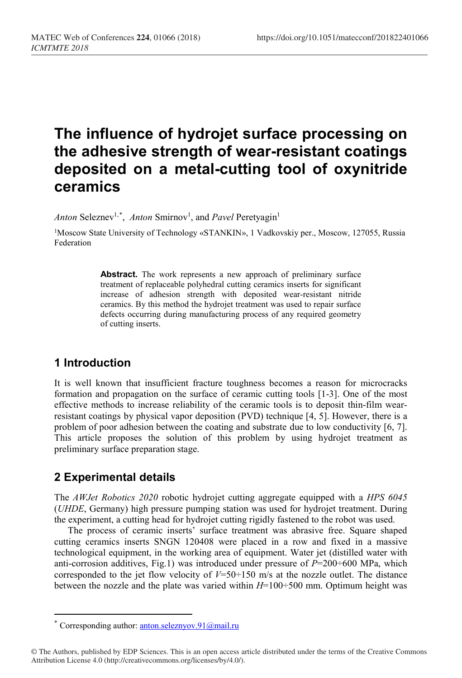# **The influence of hydrojet surface processing on the adhesive strength of wear-resistant coatings deposited on a metal-cutting tool of oxynitride ceramics**

Anton Seleznev<sup>1,[\\*](#page-0-0)</sup>, Anton Smirnov<sup>1</sup>, and Pavel Peretyagin<sup>1</sup>

1Moscow State University of Technology «STANKIN», 1 Vadkovskiy per., Moscow, 127055, Russia Federation

> **Abstract.** The work represents a new approach of preliminary surface treatment of replaceable polyhedral cutting ceramics inserts for significant increase of adhesion strength with deposited wear-resistant nitride ceramics. By this method the hydrojet treatment was used to repair surface defects occurring during manufacturing process of any required geometry of cutting inserts.

## **1 Introduction**

It is well known that insufficient fracture toughness becomes a reason for microcracks formation and propagation on the surface of ceramic cutting tools [1-3]. One of the most effective methods to increase reliability of the ceramic tools is to deposit thin-film wearresistant coatings by physical vapor deposition (PVD) technique [4, 5]. However, there is a problem of poor adhesion between the coating and substrate due to low conductivity [6, 7]. This article proposes the solution of this problem by using hydrojet treatment as preliminary surface preparation stage.

## **2 Experimental details**

 $\overline{a}$ 

The *AWJet Robotics 2020* robotic hydrojet cutting aggregate equipped with a *HPS 6045*  (*UHDE*, Germany) high pressure pumping station was used for hydrojet treatment. During the experiment, a cutting head for hydrojet cutting rigidly fastened to the robot was used.

The process of ceramic inserts' surface treatment was abrasive free. Square shaped cutting ceramics inserts SNGN 120408 were placed in a row and fixed in a massive technological equipment, in the working area of equipment. Water jet (distilled water with anti-corrosion additives, Fig.1) was introduced under pressure of *P*=200÷600 MPa, which corresponded to the jet flow velocity of  $V=50+150$  m/s at the nozzle outlet. The distance between the nozzle and the plate was varied within *H*=100÷500 mm. Optimum height was

Corresponding author: anton.seleznyov.91@mail.ru

<span id="page-0-0"></span><sup>©</sup> The Authors, published by EDP Sciences. This is an open access article distributed under the terms of the Creative Commons Attribution License 4.0 (http://creativecommons.org/licenses/by/4.0/).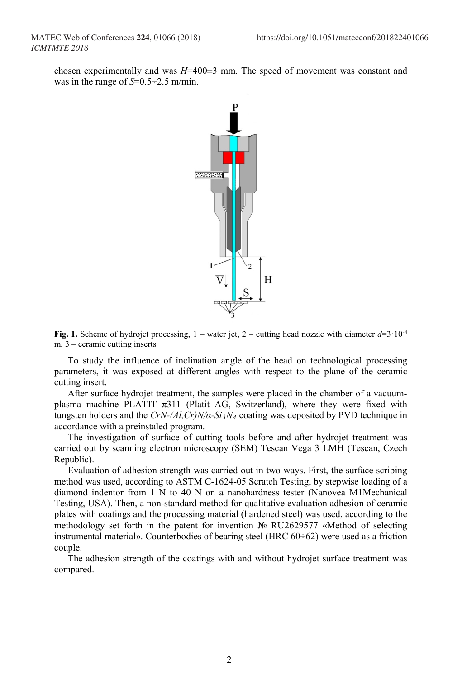chosen experimentally and was *H*=400±3 mm. The speed of movement was constant and was in the range of *S*=0.5<sup>-2</sup>.5 m/min.



**Fig. 1.** Scheme of hydrojet processing,  $1$  – water jet,  $2$  – cutting head nozzle with diameter  $d=3.10^{-4}$ m, 3 – ceramic cutting inserts

To study the influence of inclination angle of the head on technological processing parameters, it was exposed at different angles with respect to the plane of the ceramic cutting insert.

After surface hydrojet treatment, the samples were placed in the chamber of a vacuumplasma machine PLATIT  $π311$  (Platit AG, Switzerland), where they were fixed with tungsten holders and the *CrN-(Al,Cr)N/α-Si3N4* coating was deposited by PVD technique in accordance with a preinstaled program.

The investigation of surface of cutting tools before and after hydrojet treatment was carried out by scanning electron microscopy (SEM) Tescan Vega 3 LMH (Tescan, Czech Republic).

Evaluation of adhesion strength was carried out in two ways. First, the surface scribing method was used, according to ASTM C-1624-05 Scratch Testing, by stepwise loading of a diamond indentor from 1 N to 40 N on a nanohardness tester (Nanovea M1Mechanical Testing, USA). Then, a non-standard method for qualitative evaluation adhesion of ceramic plates with coatings and the processing material (hardened steel) was used, according to the methodology set forth in the patent for invention № RU2629577 «Method of selecting instrumental material». Counterbodies of bearing steel (HRC 60÷62) were used as a friction couple.

The adhesion strength of the coatings with and without hydrojet surface treatment was compared.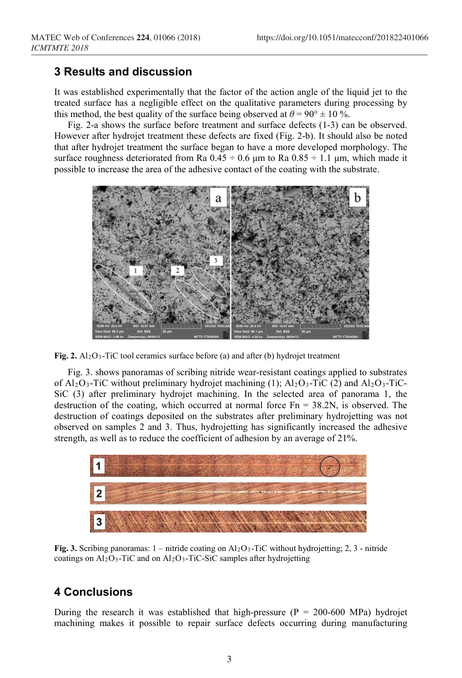#### **3 Results and discussion**

It was established experimentally that the factor of the action angle of the liquid jet to the treated surface has a negligible effect on the qualitative parameters during processing by this method, the best quality of the surface being observed at  $\theta = 90^\circ \pm 10$  %.

Fig. 2-a shows the surface before treatment and surface defects (1-3) can be observed. However after hydrojet treatment these defects are fixed (Fig. 2-b). It should also be noted that after hydrojet treatment the surface began to have a more developed morphology. The surface roughness deteriorated from Ra  $0.45 \div 0.6$  μm to Ra  $0.85 \div 1.1$  μm, which made it possible to increase the area of the adhesive contact of the coating with the substrate.



**Fig. 2.** Al2O3-TiC tool ceramics surface before (a) and after (b) hydrojet treatment

Fig. 3. shows panoramas of scribing nitride wear-resistant coatings applied to substrates of  $Al_2O_3$ -TiC without preliminary hydrojet machining (1);  $Al_2O_3$ -TiC (2) and  $Al_2O_3$ -TiC-SiC (3) after preliminary hydrojet machining. In the selected area of panorama 1, the destruction of the coating, which occurred at normal force  $Fn = 38.2N$ , is observed. The destruction of coatings deposited on the substrates after preliminary hydrojetting was not observed on samples 2 and 3. Thus, hydrojetting has significantly increased the adhesive strength, as well as to reduce the coefficient of adhesion by an average of 21%.



**Fig. 3.** Scribing panoramas:  $1 -$ nitride coating on Al<sub>2</sub>O<sub>3</sub>-TiC without hydrojetting; 2, 3 - nitride coatings on  $Al_2O_3$ -TiC and on  $Al_2O_3$ -TiC-SiC samples after hydrojetting

### **4 Conclusions**

During the research it was established that high-pressure  $(P = 200-600 \text{ MPa})$  hydrojet machining makes it possible to repair surface defects occurring during manufacturing